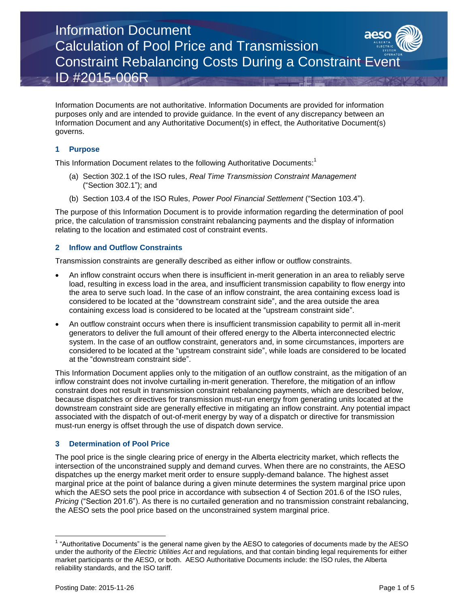Information Document Calculation of Pool Price and Transmission Constraint Rebalancing Costs During a Constraint Event ID #2015-006R

Information Documents are not authoritative. Information Documents are provided for information purposes only and are intended to provide guidance. In the event of any discrepancy between an Information Document and any Authoritative Document(s) in effect, the Authoritative Document(s) governs.

#### **1 Purpose**

This Information Document relates to the following Authoritative Documents:<sup>1</sup>

- (a) Section 302.1 of the ISO rules, *Real Time Transmission Constraint Management* ("Section 302.1"); and
- (b) Section 103.4 of the ISO Rules, *Power Pool Financial Settlement* ("Section 103.4").

The purpose of this Information Document is to provide information regarding the determination of pool price, the calculation of transmission constraint rebalancing payments and the display of information relating to the location and estimated cost of constraint events.

#### **2 Inflow and Outflow Constraints**

Transmission constraints are generally described as either inflow or outflow constraints.

- An inflow constraint occurs when there is insufficient in-merit generation in an area to reliably serve load, resulting in excess load in the area, and insufficient transmission capability to flow energy into the area to serve such load. In the case of an inflow constraint, the area containing excess load is considered to be located at the "downstream constraint side", and the area outside the area containing excess load is considered to be located at the "upstream constraint side".
- An outflow constraint occurs when there is insufficient transmission capability to permit all in-merit generators to deliver the full amount of their offered energy to the Alberta interconnected electric system. In the case of an outflow constraint, generators and, in some circumstances, importers are considered to be located at the "upstream constraint side", while loads are considered to be located at the "downstream constraint side".

This Information Document applies only to the mitigation of an outflow constraint, as the mitigation of an inflow constraint does not involve curtailing in-merit generation. Therefore, the mitigation of an inflow constraint does not result in transmission constraint rebalancing payments, which are described below, because dispatches or directives for transmission must-run energy from generating units located at the downstream constraint side are generally effective in mitigating an inflow constraint. Any potential impact associated with the dispatch of out-of-merit energy by way of a dispatch or directive for transmission must-run energy is offset through the use of dispatch down service.

#### **3 Determination of Pool Price**

The pool price is the single clearing price of energy in the Alberta electricity market, which reflects the intersection of the unconstrained supply and demand curves. When there are no constraints, the AESO dispatches up the energy market merit order to ensure supply-demand balance. The highest asset marginal price at the point of balance during a given minute determines the system marginal price upon which the AESO sets the pool price in accordance with subsection 4 of Section 201.6 of the ISO rules, *Pricing* ("Section 201.6"). As there is no curtailed generation and no transmission constraint rebalancing, the AESO sets the pool price based on the unconstrained system marginal price.

l

 $1$  "Authoritative Documents" is the general name given by the AESO to categories of documents made by the AESO under the authority of the *Electric Utilities Act* and regulations, and that contain binding legal requirements for either market participants or the AESO, or both. AESO Authoritative Documents include: the ISO rules, the Alberta reliability standards, and the ISO tariff.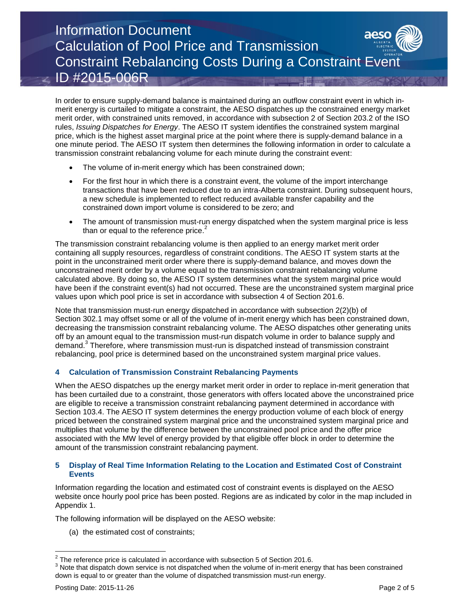## Information Document Calculation of Pool Price and Transmission Constraint Rebalancing Costs During a Constraint Event ID #2015-006R

In order to ensure supply-demand balance is maintained during an outflow constraint event in which inmerit energy is curtailed to mitigate a constraint, the AESO dispatches up the constrained energy market merit order, with constrained units removed, in accordance with subsection 2 of Section 203.2 of the ISO rules, *Issuing Dispatches for Energy*. The AESO IT system identifies the constrained system marginal price, which is the highest asset marginal price at the point where there is supply-demand balance in a one minute period. The AESO IT system then determines the following information in order to calculate a transmission constraint rebalancing volume for each minute during the constraint event:

- The volume of in-merit energy which has been constrained down;
- For the first hour in which there is a constraint event, the volume of the import interchange transactions that have been reduced due to an intra-Alberta constraint. During subsequent hours, a new schedule is implemented to reflect reduced available transfer capability and the constrained down import volume is considered to be zero; and
- The amount of transmission must-run energy dispatched when the system marginal price is less than or equal to the reference price. $^2$

The transmission constraint rebalancing volume is then applied to an energy market merit order containing all supply resources, regardless of constraint conditions. The AESO IT system starts at the point in the unconstrained merit order where there is supply-demand balance, and moves down the unconstrained merit order by a volume equal to the transmission constraint rebalancing volume calculated above. By doing so, the AESO IT system determines what the system marginal price would have been if the constraint event(s) had not occurred. These are the unconstrained system marginal price values upon which pool price is set in accordance with subsection 4 of Section 201.6.

Note that transmission must-run energy dispatched in accordance with subsection 2(2)(b) of Section 302.1 may offset some or all of the volume of in-merit energy which has been constrained down, decreasing the transmission constraint rebalancing volume. The AESO dispatches other generating units off by an amount equal to the transmission must-run dispatch volume in order to balance supply and demand. 3 Therefore, where transmission must-run is dispatched instead of transmission constraint rebalancing, pool price is determined based on the unconstrained system marginal price values.

#### **4 Calculation of Transmission Constraint Rebalancing Payments**

When the AESO dispatches up the energy market merit order in order to replace in-merit generation that has been curtailed due to a constraint, those generators with offers located above the unconstrained price are eligible to receive a transmission constraint rebalancing payment determined in accordance with Section 103.4. The AESO IT system determines the energy production volume of each block of energy priced between the constrained system marginal price and the unconstrained system marginal price and multiplies that volume by the difference between the unconstrained pool price and the offer price associated with the MW level of energy provided by that eligible offer block in order to determine the amount of the transmission constraint rebalancing payment.

#### **5 Display of Real Time Information Relating to the Location and Estimated Cost of Constraint Events**

Information regarding the location and estimated cost of constraint events is displayed on the AESO website once hourly pool price has been posted. Regions are as indicated by color in the map included in Appendix 1.

The following information will be displayed on the AESO website:

(a) the estimated cost of constraints;

l

 $\frac{2}{3}$  The reference price is calculated in accordance with subsection 5 of Section 201.6.

 $3$  Note that dispatch down service is not dispatched when the volume of in-merit energy that has been constrained down is equal to or greater than the volume of dispatched transmission must-run energy.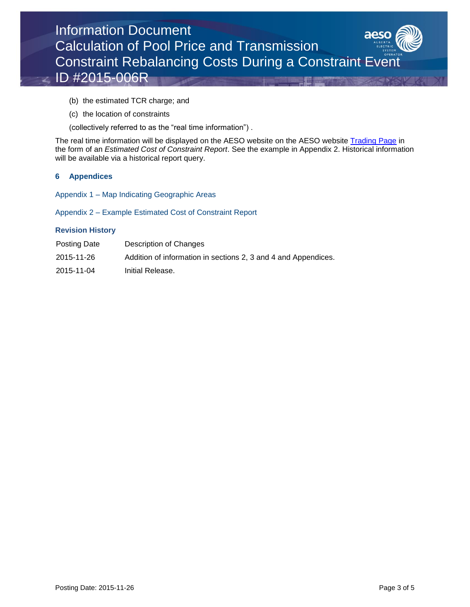

- (b) the estimated TCR charge; and
- (c) the location of constraints

(collectively referred to as the "real time information") .

The real time information will be displayed on the AESO website on the AESO website [Trading Page](http://ets.aeso.ca/) in the form of an *Estimated Cost of Constraint Report*. See the example in Appendix 2. Historical information will be available via a historical report query.

#### **6 Appendices**

Appendix 1 – Map Indicating Geographic Areas

Appendix 2 – Example Estimated Cost of Constraint Report

#### **Revision History**

| Posting Date | Description of Changes                                         |
|--------------|----------------------------------------------------------------|
| 2015-11-26   | Addition of information in sections 2, 3 and 4 and Appendices. |
| 2015-11-04   | Initial Release.                                               |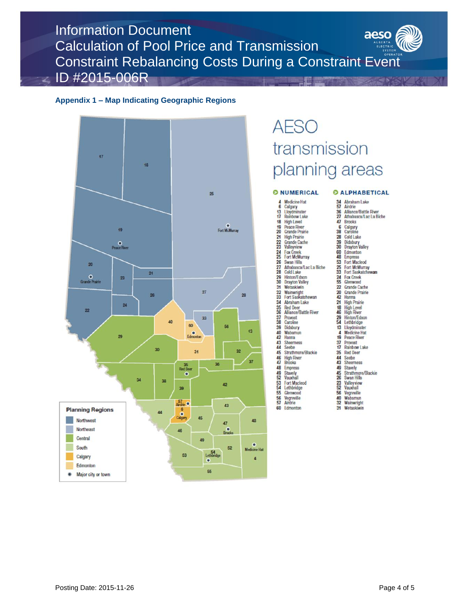Information Document aeso Calculation of Pool Price and Transmission Constraint Rebalancing Costs During a Constraint Event ID #2015-006R

#### **Appendix 1 – Map Indicating Geographic Regions**



# **AESO** transmission planning areas

#### **O NUMERICAL**

4 Medicine Hat<br>6 Calgary 13 Lloydminster<br>17 Rambow Lake 18 High Level  $\frac{18}{19}$ Peace River 20 Grande Prairie  $\overline{21}$ **High Prairie**  $rac{22}{23}$ Grande Cache<br>Valleyview 24 Fox Creek<br>25 Fort McMurray  $\frac{26}{27}$ Swan Hills<br>Athabasca/Lac La Biche 28 Cold Lake  $\frac{29}{30}$ Hinton/Edson **Drayton Valley** 31 Wetaskiwin 32 Wainwright<br>33 Fort Saskatchewan<br>34 Abraham Lake 35 Red Deer<br>Alliance/Battle River 36  $\frac{37}{38}$ Provost<br>Caroline 39 Didsbury 40 Wabam Wabamun 42 Hanna<br>43 Sheeness<br>44 Seebe<br>45 Strathmore/Blackie<br>46 High River<br>47 Brooks **High River**<br>Brooks  $\frac{46}{47}$ 48 Empress Stavely<br>Vauxhall<br>Fort Macleod  $rac{49}{52}$  $rac{53}{54}$ Lethbridge<br>Glemwood  $55$  $rac{56}{57}$ Vegreville<br>Airdrie

60 Edmonton **O ALPHABETICAL** 34 Abraham Lake Aliance/Battle River  $\frac{36}{27}$ 47<br>38 **Brooks** Calgary<br>Caroline  $\overline{28}$ Cold Lake Didsbury<br>Drayton Valley 39<br>30 Edmonton<br>Empress<br>Fort Macleod 60<br>48 3823 Fort McMurray  $\frac{24}{55}$ **Fax Creek**<br>Glemwood 22 Grande Cache Grande Prairie 20<br>42<br>48<br>46 Hanna<br>High Prairie **High Level**<br>**High River** Hinton/Edson<br>Lethbridge 29<br>54  $13$ Lloydminster **Medicine Hat**  $rac{4}{19}$ <br> $rac{19}{37}$ <br> $rac{7}{17}$ <br> $rac{4}{35}$ **Peace River** Provost Rainbow Lake **Red Deer** 44 Seebe 495835 Stavely Strathmore/Blackie Strammore<br>Swan Hills<br>Valleyview<br>Vauxhall  $56$ Vegreville Wabamun<br>Wainwright  $rac{40}{32}$  $31$ Wetaskiwin